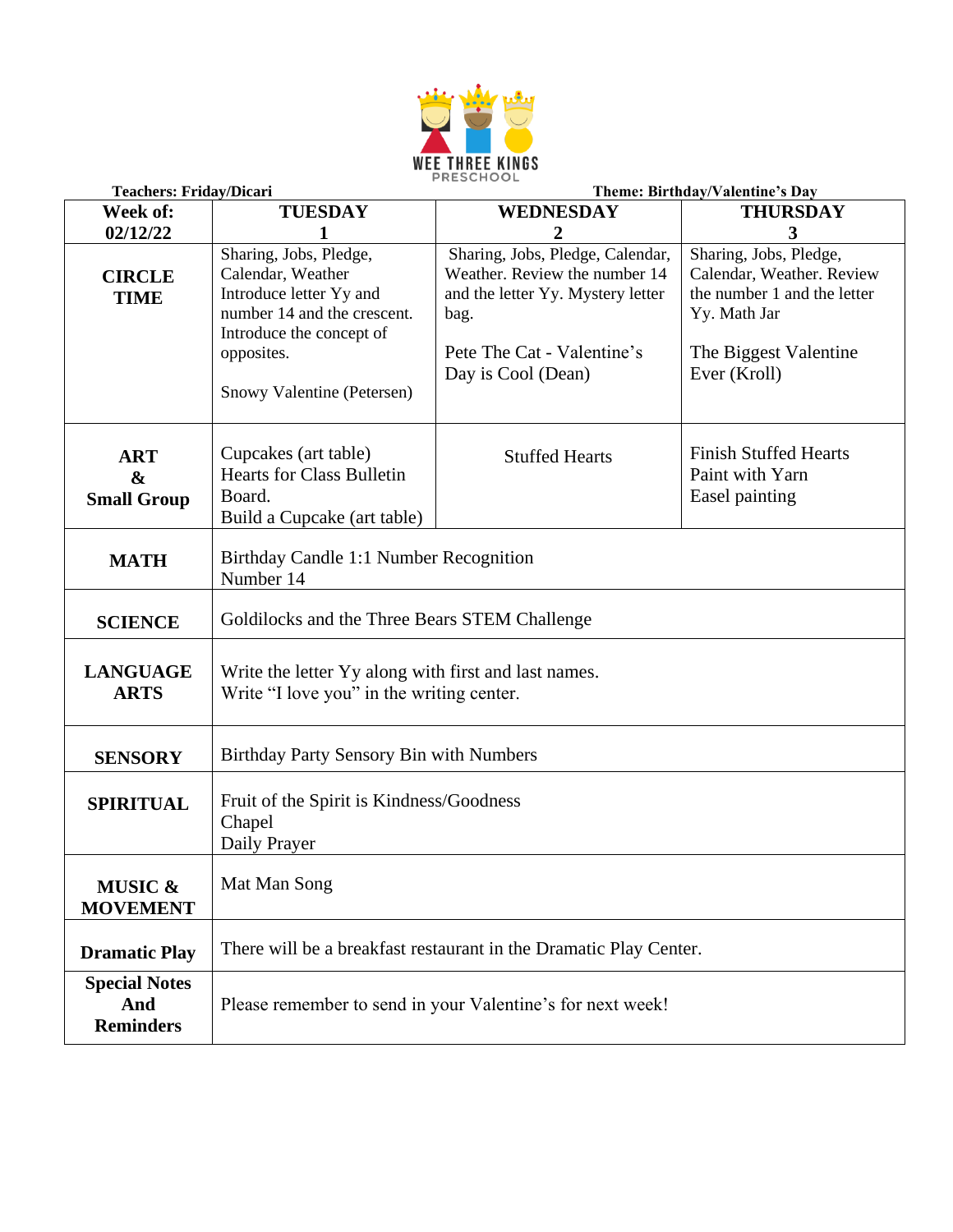

| <b>Teachers: Friday/Dicari</b>                        |                                                                                                                                                                               | Theme: Birthday/Valentine's Day                                                                                                                                    |                                                                                                                                             |  |
|-------------------------------------------------------|-------------------------------------------------------------------------------------------------------------------------------------------------------------------------------|--------------------------------------------------------------------------------------------------------------------------------------------------------------------|---------------------------------------------------------------------------------------------------------------------------------------------|--|
| Week of:                                              | <b>TUESDAY</b>                                                                                                                                                                | <b>WEDNESDAY</b>                                                                                                                                                   | <b>THURSDAY</b>                                                                                                                             |  |
| 02/12/22                                              |                                                                                                                                                                               | 2                                                                                                                                                                  | 3                                                                                                                                           |  |
| <b>CIRCLE</b><br><b>TIME</b>                          | Sharing, Jobs, Pledge,<br>Calendar, Weather<br>Introduce letter Yy and<br>number 14 and the crescent.<br>Introduce the concept of<br>opposites.<br>Snowy Valentine (Petersen) | Sharing, Jobs, Pledge, Calendar,<br>Weather. Review the number 14<br>and the letter Yy. Mystery letter<br>bag.<br>Pete The Cat - Valentine's<br>Day is Cool (Dean) | Sharing, Jobs, Pledge,<br>Calendar, Weather. Review<br>the number 1 and the letter<br>Yy. Math Jar<br>The Biggest Valentine<br>Ever (Kroll) |  |
| <b>ART</b><br>$\boldsymbol{\&}$<br><b>Small Group</b> | Cupcakes (art table)<br><b>Hearts for Class Bulletin</b><br>Board.<br>Build a Cupcake (art table)                                                                             | <b>Stuffed Hearts</b>                                                                                                                                              | <b>Finish Stuffed Hearts</b><br>Paint with Yarn<br>Easel painting                                                                           |  |
| <b>MATH</b>                                           | Birthday Candle 1:1 Number Recognition<br>Number 14                                                                                                                           |                                                                                                                                                                    |                                                                                                                                             |  |
| <b>SCIENCE</b>                                        | Goldilocks and the Three Bears STEM Challenge                                                                                                                                 |                                                                                                                                                                    |                                                                                                                                             |  |
| <b>LANGUAGE</b><br><b>ARTS</b>                        | Write the letter Yy along with first and last names.<br>Write "I love you" in the writing center.                                                                             |                                                                                                                                                                    |                                                                                                                                             |  |
| <b>SENSORY</b>                                        | Birthday Party Sensory Bin with Numbers                                                                                                                                       |                                                                                                                                                                    |                                                                                                                                             |  |
| <b>SPIRITUAL</b>                                      | Fruit of the Spirit is Kindness/Goodness<br>Chapel<br>Daily Prayer                                                                                                            |                                                                                                                                                                    |                                                                                                                                             |  |
| <b>MUSIC &amp;</b><br><b>MOVEMENT</b>                 | Mat Man Song                                                                                                                                                                  |                                                                                                                                                                    |                                                                                                                                             |  |
| <b>Dramatic Play</b>                                  | There will be a breakfast restaurant in the Dramatic Play Center.                                                                                                             |                                                                                                                                                                    |                                                                                                                                             |  |
| <b>Special Notes</b><br>And<br><b>Reminders</b>       | Please remember to send in your Valentine's for next week!                                                                                                                    |                                                                                                                                                                    |                                                                                                                                             |  |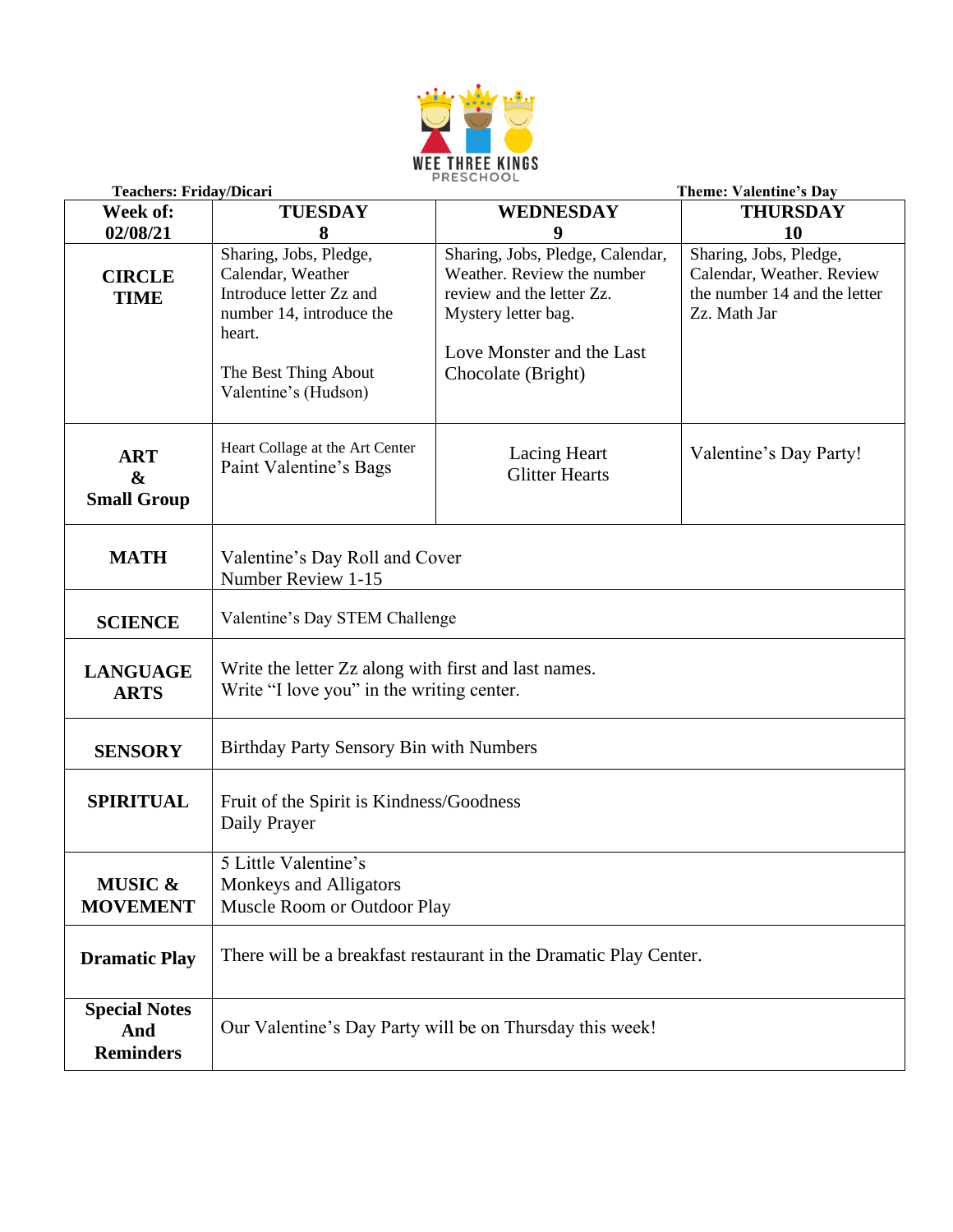

|                                                       | <b>Teachers: Friday/Dicari</b>                                                                                                                               |                                                                                                                                                                       | <b>Theme: Valentine's Day</b>                                                                       |
|-------------------------------------------------------|--------------------------------------------------------------------------------------------------------------------------------------------------------------|-----------------------------------------------------------------------------------------------------------------------------------------------------------------------|-----------------------------------------------------------------------------------------------------|
| Week of:                                              | <b>TUESDAY</b>                                                                                                                                               | <b>WEDNESDAY</b>                                                                                                                                                      | <b>THURSDAY</b>                                                                                     |
| 02/08/21                                              | 8                                                                                                                                                            | 9                                                                                                                                                                     | 10                                                                                                  |
| <b>CIRCLE</b><br><b>TIME</b>                          | Sharing, Jobs, Pledge,<br>Calendar, Weather<br>Introduce letter Zz and<br>number 14, introduce the<br>heart.<br>The Best Thing About<br>Valentine's (Hudson) | Sharing, Jobs, Pledge, Calendar,<br>Weather. Review the number<br>review and the letter Zz.<br>Mystery letter bag.<br>Love Monster and the Last<br>Chocolate (Bright) | Sharing, Jobs, Pledge,<br>Calendar, Weather. Review<br>the number 14 and the letter<br>Zz. Math Jar |
| <b>ART</b><br>$\boldsymbol{\&}$<br><b>Small Group</b> | Heart Collage at the Art Center<br>Paint Valentine's Bags                                                                                                    | Lacing Heart<br><b>Glitter Hearts</b>                                                                                                                                 | Valentine's Day Party!                                                                              |
| <b>MATH</b>                                           | Valentine's Day Roll and Cover<br>Number Review 1-15                                                                                                         |                                                                                                                                                                       |                                                                                                     |
| <b>SCIENCE</b>                                        | Valentine's Day STEM Challenge                                                                                                                               |                                                                                                                                                                       |                                                                                                     |
| <b>LANGUAGE</b><br><b>ARTS</b>                        | Write the letter Zz along with first and last names.<br>Write "I love you" in the writing center.                                                            |                                                                                                                                                                       |                                                                                                     |
| <b>SENSORY</b>                                        | Birthday Party Sensory Bin with Numbers                                                                                                                      |                                                                                                                                                                       |                                                                                                     |
| <b>SPIRITUAL</b>                                      | Fruit of the Spirit is Kindness/Goodness<br>Daily Prayer                                                                                                     |                                                                                                                                                                       |                                                                                                     |
| <b>MUSIC &amp;</b><br><b>MOVEMENT</b>                 | 5 Little Valentine's<br>Monkeys and Alligators<br>Muscle Room or Outdoor Play                                                                                |                                                                                                                                                                       |                                                                                                     |
| <b>Dramatic Play</b>                                  | There will be a breakfast restaurant in the Dramatic Play Center.                                                                                            |                                                                                                                                                                       |                                                                                                     |
| <b>Special Notes</b><br>And<br><b>Reminders</b>       | Our Valentine's Day Party will be on Thursday this week!                                                                                                     |                                                                                                                                                                       |                                                                                                     |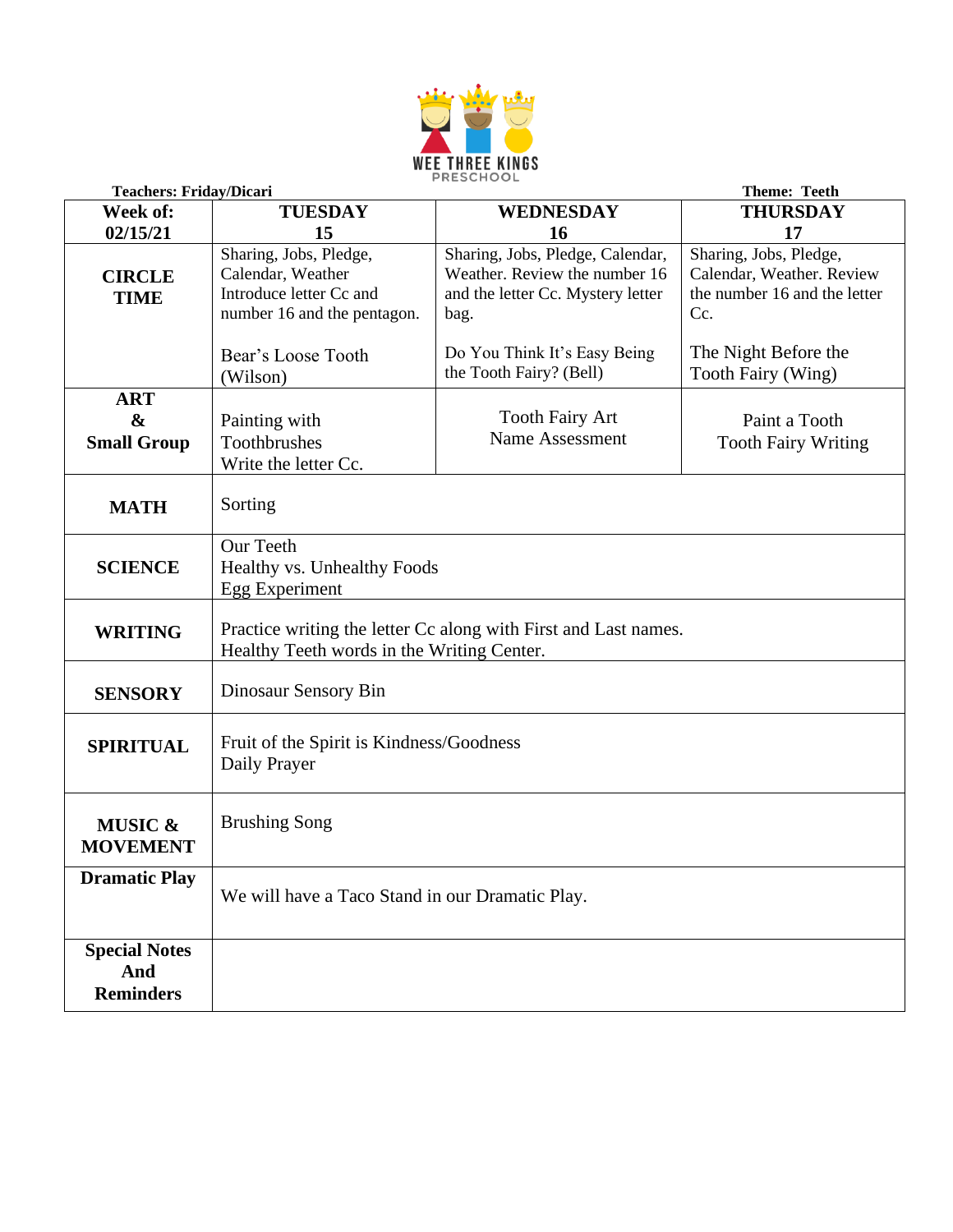

|                                                       | <b>Teachers: Friday/Dicari</b><br><b>Theme: Teeth</b>                                                         |                                                                                                                |                                                                                            |
|-------------------------------------------------------|---------------------------------------------------------------------------------------------------------------|----------------------------------------------------------------------------------------------------------------|--------------------------------------------------------------------------------------------|
| Week of:                                              | <b>TUESDAY</b>                                                                                                | <b>WEDNESDAY</b>                                                                                               | <b>THURSDAY</b>                                                                            |
| 02/15/21                                              | 15                                                                                                            | <b>16</b>                                                                                                      | 17                                                                                         |
| <b>CIRCLE</b><br><b>TIME</b>                          | Sharing, Jobs, Pledge,<br>Calendar, Weather<br>Introduce letter Cc and<br>number 16 and the pentagon.         | Sharing, Jobs, Pledge, Calendar,<br>Weather. Review the number 16<br>and the letter Cc. Mystery letter<br>bag. | Sharing, Jobs, Pledge,<br>Calendar, Weather. Review<br>the number 16 and the letter<br>Cc. |
|                                                       | Bear's Loose Tooth<br>(Wilson)                                                                                | Do You Think It's Easy Being<br>the Tooth Fairy? (Bell)                                                        | The Night Before the<br>Tooth Fairy (Wing)                                                 |
| <b>ART</b><br>$\boldsymbol{\&}$<br><b>Small Group</b> | Painting with<br>Toothbrushes<br>Write the letter Cc.                                                         | <b>Tooth Fairy Art</b><br>Name Assessment                                                                      | Paint a Tooth<br><b>Tooth Fairy Writing</b>                                                |
| <b>MATH</b>                                           | Sorting                                                                                                       |                                                                                                                |                                                                                            |
| <b>SCIENCE</b>                                        | <b>Our Teeth</b><br>Healthy vs. Unhealthy Foods<br>Egg Experiment                                             |                                                                                                                |                                                                                            |
| <b>WRITING</b>                                        | Practice writing the letter Cc along with First and Last names.<br>Healthy Teeth words in the Writing Center. |                                                                                                                |                                                                                            |
| <b>SENSORY</b>                                        | Dinosaur Sensory Bin                                                                                          |                                                                                                                |                                                                                            |
| <b>SPIRITUAL</b>                                      | Fruit of the Spirit is Kindness/Goodness<br>Daily Prayer                                                      |                                                                                                                |                                                                                            |
| <b>MUSIC &amp;</b><br><b>MOVEMENT</b>                 | <b>Brushing Song</b>                                                                                          |                                                                                                                |                                                                                            |
| <b>Dramatic Play</b>                                  | We will have a Taco Stand in our Dramatic Play.                                                               |                                                                                                                |                                                                                            |
| <b>Special Notes</b><br>And<br><b>Reminders</b>       |                                                                                                               |                                                                                                                |                                                                                            |